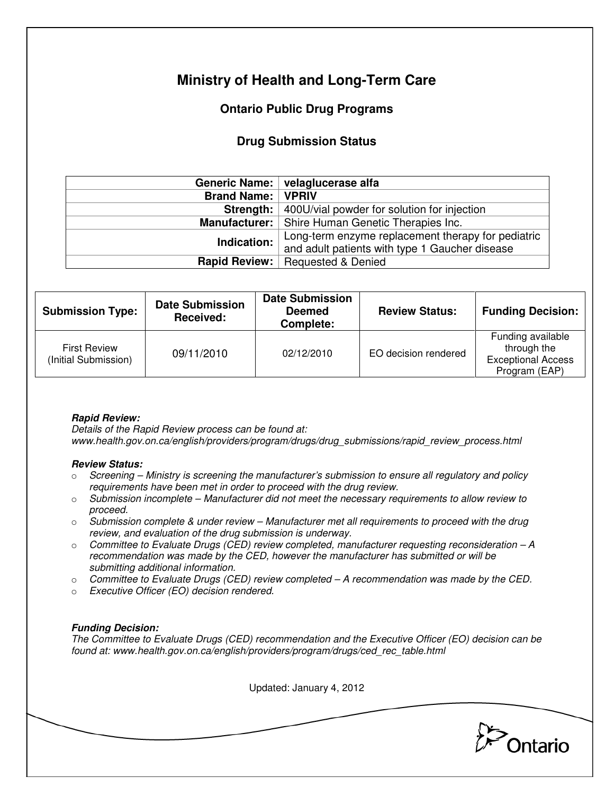# **Ministry of Health and Long-Term Care**

## **Ontario Public Drug Programs**

### **Drug Submission Status**

|                            | Generic Name:   velaglucerase alfa                           |  |  |
|----------------------------|--------------------------------------------------------------|--|--|
| <b>Brand Name:   VPRIV</b> |                                                              |  |  |
|                            | <b>Strength:</b> 400U/vial powder for solution for injection |  |  |
|                            | <b>Manufacturer:</b>   Shire Human Genetic Therapies Inc.    |  |  |
| Indication:                | Long-term enzyme replacement therapy for pediatric           |  |  |
|                            | and adult patients with type 1 Gaucher disease               |  |  |
| Rapid Review:              | <b>Requested &amp; Denied</b>                                |  |  |

| <b>Submission Type:</b>                     | <b>Date Submission</b><br>Received: | <b>Date Submission</b><br><b>Deemed</b><br>Complete: | <b>Review Status:</b> | <b>Funding Decision:</b>                                                       |
|---------------------------------------------|-------------------------------------|------------------------------------------------------|-----------------------|--------------------------------------------------------------------------------|
| <b>First Review</b><br>(Initial Submission) | 09/11/2010                          | 02/12/2010                                           | EO decision rendered  | Funding available<br>through the<br><b>Exceptional Access</b><br>Program (EAP) |

### **Rapid Review:**

Details of the Rapid Review process can be found at: www.health.gov.on.ca/english/providers/program/drugs/drug\_submissions/rapid\_review\_process.html

#### **Review Status:**

- $\circ$  Screening Ministry is screening the manufacturer's submission to ensure all regulatory and policy requirements have been met in order to proceed with the drug review.
- $\circ$  Submission incomplete Manufacturer did not meet the necessary requirements to allow review to proceed.
- $\circ$  Submission complete & under review Manufacturer met all requirements to proceed with the drug review, and evaluation of the drug submission is underway.
- $\circ$  Committee to Evaluate Drugs (CED) review completed, manufacturer requesting reconsideration  $-A$ recommendation was made by the CED, however the manufacturer has submitted or will be submitting additional information.
- $\circ$  Committee to Evaluate Drugs (CED) review completed A recommendation was made by the CED.
- o Executive Officer (EO) decision rendered.

### **Funding Decision:**

The Committee to Evaluate Drugs (CED) recommendation and the Executive Officer (EO) decision can be found at: www.health.gov.on.ca/english/providers/program/drugs/ced\_rec\_table.html

Updated: January 4, 2012